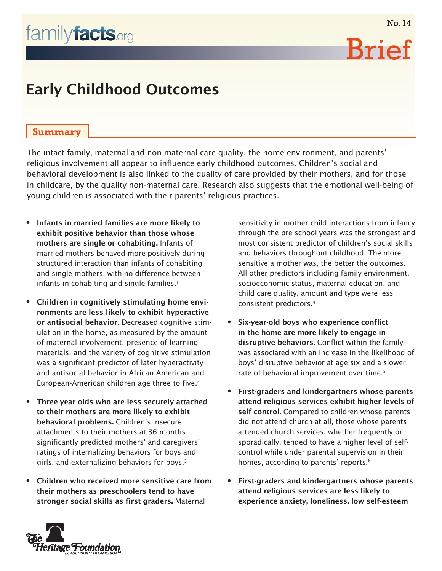## Early Childhood Outcomes

## **Summary**

The intact family, maternal and non-maternal care quality, the home environment, and parents' religious involvement all appear to influence early childhood outcomes. Children's social and behavioral development is also linked to the quality of care provided by their mothers, and for those in childcare, by the quality non-maternal care. Research also suggests that the emotional well-being of young children is associated with their parents' religious practices.

- Infants in married families are more likely to exhibit positive behavior than those whose mothers are single or cohabiting. Infants of married mothers behaved more positively during structured interaction than infants of cohabiting and single mothers, with no difference between infants in cohabiting and single families.<sup>1</sup>
- Children in cognitively stimulating home environments are less likely to exhibit hyperactive or antisocial behavior. Decreased cognitive stimulation in the home, as measured by the amount of maternal involvement, presence of learning materials, and the variety of cognitive stimulation was a significant predictor of later hyperactivity and antisocial behavior in African-American and European-American children age three to five.<sup>2</sup>
- Three-year-olds who are less securely attached to their mothers are more likely to exhibit behavioral problems. Children's insecure attachments to their mothers at 36 months significantly predicted mothers' and caregivers' ratings of internalizing behaviors for boys and girls, and externalizing behaviors for boys.3
- Children who received more sensitive care from their mothers as preschoolers tend to have stronger social skills as first graders. Maternal

sensitivity in mother-child interactions from infancy through the pre-school years was the strongest and most consistent predictor of children's social skills and behaviors throughout childhood. The more sensitive a mother was, the better the outcomes. All other predictors including family environment, socioeconomic status, maternal education, and child care quality, amount and type were less consistent predictors.4

- Six-year-old boys who experience conflict in the home are more likely to engage in disruptive behaviors. Conflict within the family was associated with an increase in the likelihood of boys' disruptive behavior at age six and a slower rate of behavioral improvement over time.<sup>5</sup>
- First-graders and kindergartners whose parents attend religious services exhibit higher levels of self-control. Compared to children whose parents did not attend church at all, those whose parents attended church services, whether frequently or sporadically, tended to have a higher level of selfcontrol while under parental supervision in their homes, according to parents' reports.<sup>6</sup>
- First-graders and kindergartners whose parents attend religious services are less likely to experience anxiety, loneliness, low self-esteem



Brief